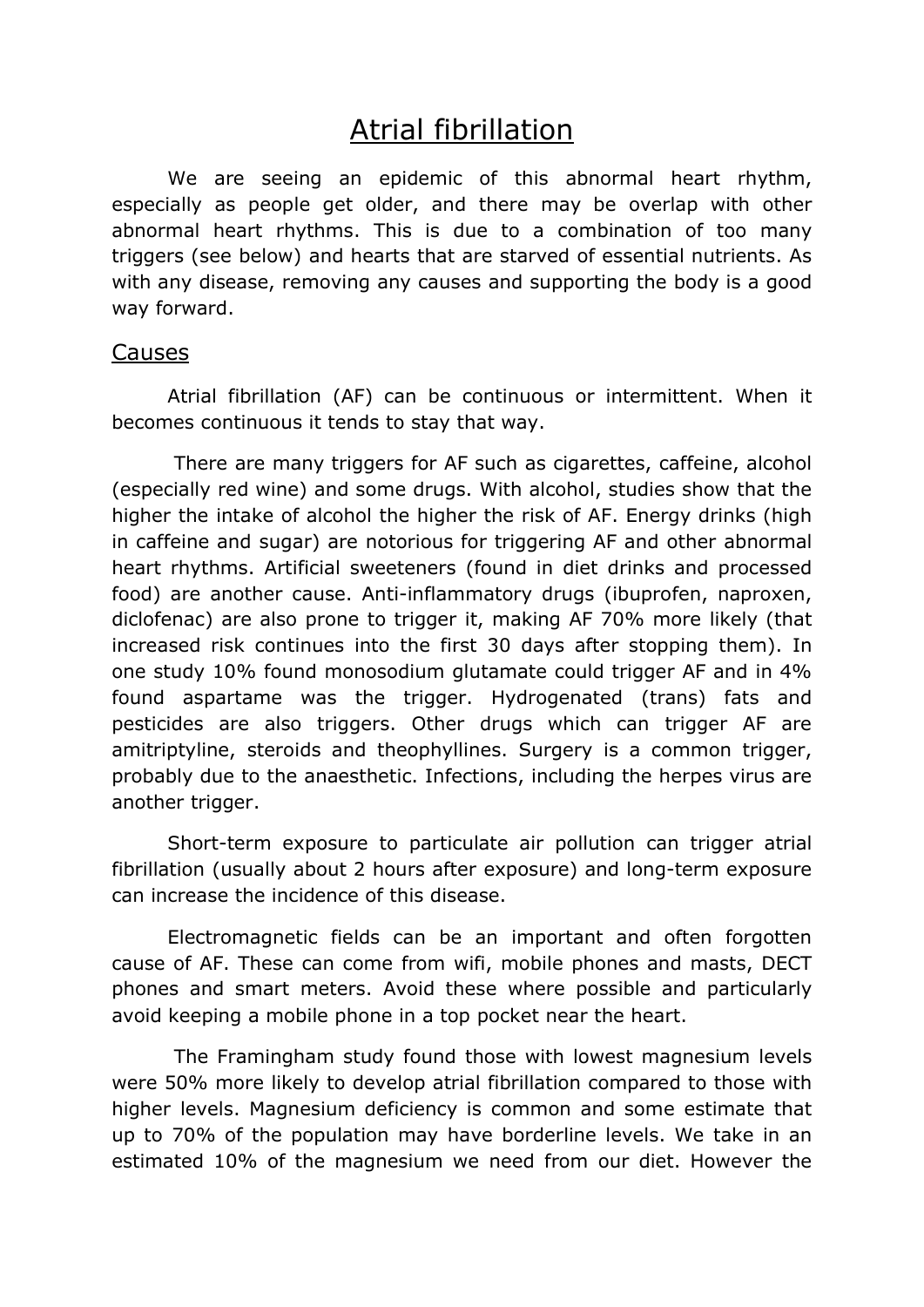## Atrial fibrillation

We are seeing an epidemic of this abnormal heart rhythm, especially as people get older, and there may be overlap with other abnormal heart rhythms. This is due to a combination of too many triggers (see below) and hearts that are starved of essential nutrients. As with any disease, removing any causes and supporting the body is a good way forward.

## Causes

 Atrial fibrillation (AF) can be continuous or intermittent. When it becomes continuous it tends to stay that way.

 There are many triggers for AF such as cigarettes, caffeine, alcohol (especially red wine) and some drugs. With alcohol, studies show that the higher the intake of alcohol the higher the risk of AF. Energy drinks (high in caffeine and sugar) are notorious for triggering AF and other abnormal heart rhythms. Artificial sweeteners (found in diet drinks and processed food) are another cause. Anti-inflammatory drugs (ibuprofen, naproxen, diclofenac) are also prone to trigger it, making AF 70% more likely (that increased risk continues into the first 30 days after stopping them). In one study 10% found monosodium glutamate could trigger AF and in 4% found aspartame was the trigger. Hydrogenated (trans) fats and pesticides are also triggers. Other drugs which can trigger AF are amitriptyline, steroids and theophyllines. Surgery is a common trigger, probably due to the anaesthetic. Infections, including the herpes virus are another trigger.

Short-term exposure to particulate air pollution can trigger atrial fibrillation (usually about 2 hours after exposure) and long-term exposure can increase the incidence of this disease.

Electromagnetic fields can be an important and often forgotten cause of AF. These can come from wifi, mobile phones and masts, DECT phones and smart meters. Avoid these where possible and particularly avoid keeping a mobile phone in a top pocket near the heart.

 The Framingham study found those with lowest magnesium levels were 50% more likely to develop atrial fibrillation compared to those with higher levels. Magnesium deficiency is common and some estimate that up to 70% of the population may have borderline levels. We take in an estimated 10% of the magnesium we need from our diet. However the